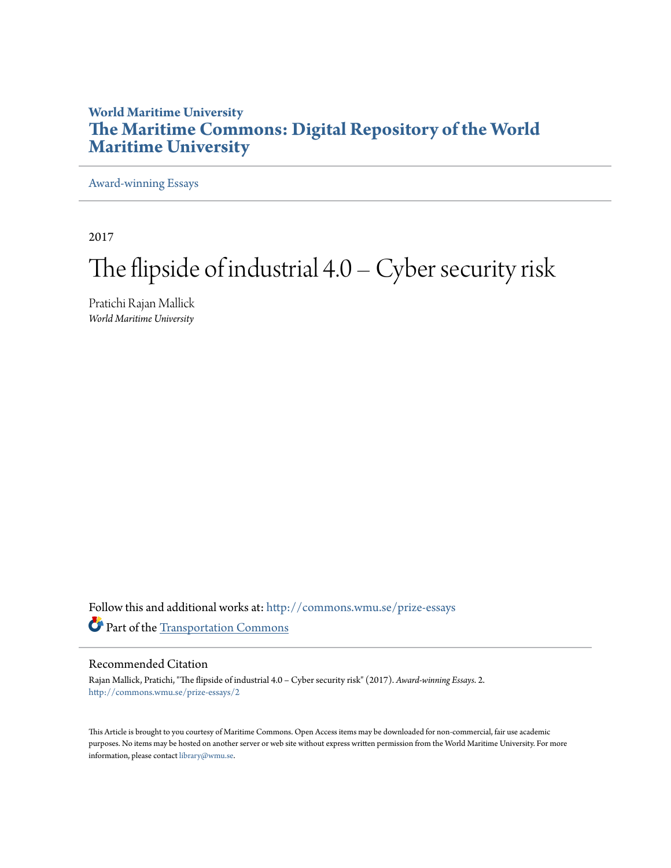## **World Maritime University [The Maritime Commons: Digital Repository of the World](http://commons.wmu.se?utm_source=commons.wmu.se%2Fprize-essays%2F2&utm_medium=PDF&utm_campaign=PDFCoverPages) [Maritime University](http://commons.wmu.se?utm_source=commons.wmu.se%2Fprize-essays%2F2&utm_medium=PDF&utm_campaign=PDFCoverPages)**

[Award-winning Essays](http://commons.wmu.se/prize-essays?utm_source=commons.wmu.se%2Fprize-essays%2F2&utm_medium=PDF&utm_campaign=PDFCoverPages)

2017

# The flipside of industrial  $4.0$  – Cyber security risk

Pratichi Rajan Mallick *World Maritime University*

Follow this and additional works at: [http://commons.wmu.se/prize-essays](http://commons.wmu.se/prize-essays?utm_source=commons.wmu.se%2Fprize-essays%2F2&utm_medium=PDF&utm_campaign=PDFCoverPages) Part of the [Transportation Commons](https://network.bepress.com/hgg/discipline/1068?utm_source=commons.wmu.se%2Fprize-essays%2F2&utm_medium=PDF&utm_campaign=PDFCoverPages)

#### Recommended Citation

Rajan Mallick, Pratichi, "The flipside of industrial 4.0 – Cyber security risk" (2017). *Award-winning Essays*. 2. [http://commons.wmu.se/prize-essays/2](http://commons.wmu.se/prize-essays/2?utm_source=commons.wmu.se%2Fprize-essays%2F2&utm_medium=PDF&utm_campaign=PDFCoverPages)

This Article is brought to you courtesy of Maritime Commons. Open Access items may be downloaded for non-commercial, fair use academic purposes. No items may be hosted on another server or web site without express written permission from the World Maritime University. For more information, please contact [library@wmu.se](mailto:library@wmu.edu).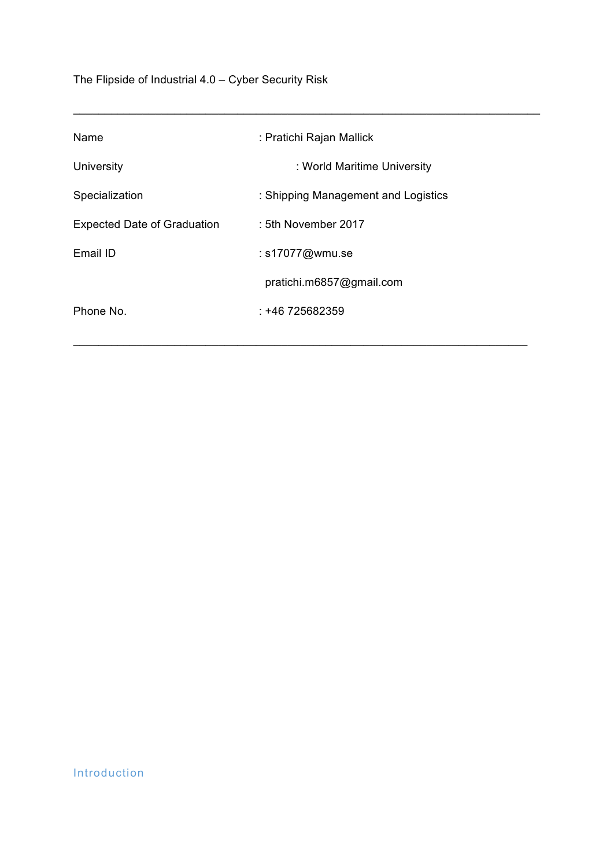The Flipside of Industrial 4.0 – Cyber Security Risk

| Name                               | : Pratichi Rajan Mallick            |
|------------------------------------|-------------------------------------|
| University                         | : World Maritime University         |
| Specialization                     | : Shipping Management and Logistics |
| <b>Expected Date of Graduation</b> | : 5th November 2017                 |
| Email ID                           | : s17077@wmu.se                     |
|                                    | pratichi.m6857@gmail.com            |
| Phone No.                          | $: +46725682359$                    |
|                                    |                                     |

 $\_$  , and the set of the set of the set of the set of the set of the set of the set of the set of the set of the set of the set of the set of the set of the set of the set of the set of the set of the set of the set of th

 $\Box$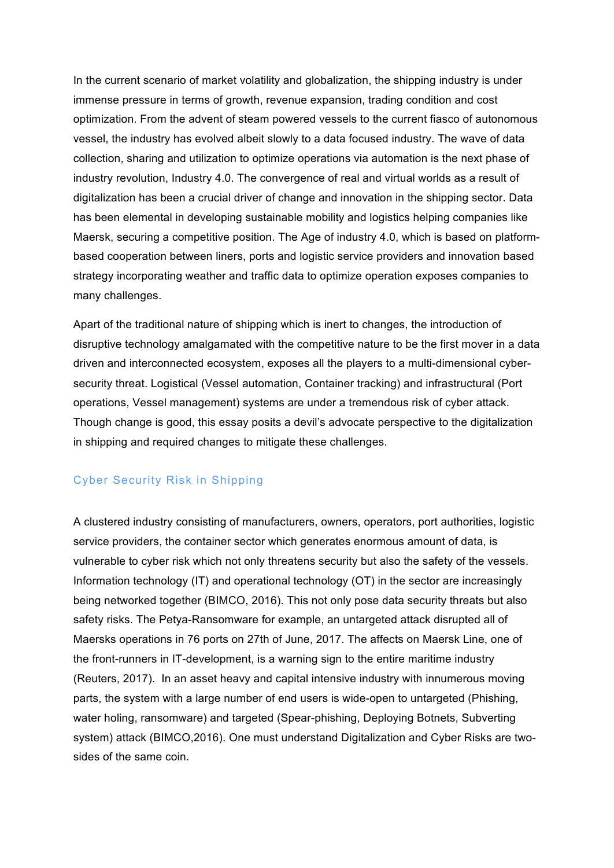In the current scenario of market volatility and globalization, the shipping industry is under immense pressure in terms of growth, revenue expansion, trading condition and cost optimization. From the advent of steam powered vessels to the current fiasco of autonomous vessel, the industry has evolved albeit slowly to a data focused industry. The wave of data collection, sharing and utilization to optimize operations via automation is the next phase of industry revolution, Industry 4.0. The convergence of real and virtual worlds as a result of digitalization has been a crucial driver of change and innovation in the shipping sector. Data has been elemental in developing sustainable mobility and logistics helping companies like Maersk, securing a competitive position. The Age of industry 4.0, which is based on platformbased cooperation between liners, ports and logistic service providers and innovation based strategy incorporating weather and traffic data to optimize operation exposes companies to many challenges.

Apart of the traditional nature of shipping which is inert to changes, the introduction of disruptive technology amalgamated with the competitive nature to be the first mover in a data driven and interconnected ecosystem, exposes all the players to a multi-dimensional cybersecurity threat. Logistical (Vessel automation, Container tracking) and infrastructural (Port operations, Vessel management) systems are under a tremendous risk of cyber attack. Though change is good, this essay posits a devil's advocate perspective to the digitalization in shipping and required changes to mitigate these challenges.

#### Cyber Security Risk in Shipping

A clustered industry consisting of manufacturers, owners, operators, port authorities, logistic service providers, the container sector which generates enormous amount of data, is vulnerable to cyber risk which not only threatens security but also the safety of the vessels. Information technology (IT) and operational technology (OT) in the sector are increasingly being networked together (BIMCO, 2016). This not only pose data security threats but also safety risks. The Petya-Ransomware for example, an untargeted attack disrupted all of Maersks operations in 76 ports on 27th of June, 2017. The affects on Maersk Line, one of the front-runners in IT-development, is a warning sign to the entire maritime industry (Reuters, 2017). In an asset heavy and capital intensive industry with innumerous moving parts, the system with a large number of end users is wide-open to untargeted (Phishing, water holing, ransomware) and targeted (Spear-phishing, Deploying Botnets, Subverting system) attack (BIMCO,2016). One must understand Digitalization and Cyber Risks are twosides of the same coin.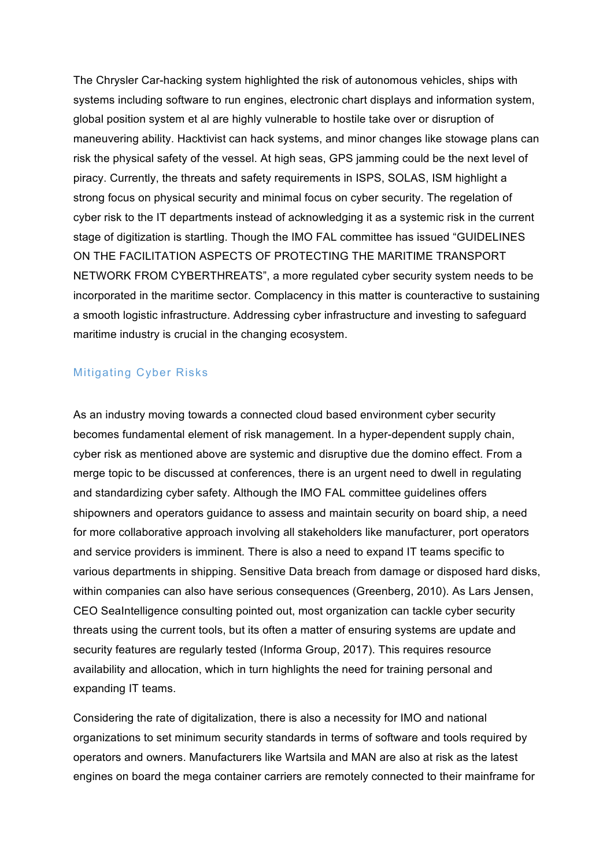The Chrysler Car-hacking system highlighted the risk of autonomous vehicles, ships with systems including software to run engines, electronic chart displays and information system, global position system et al are highly vulnerable to hostile take over or disruption of maneuvering ability. Hacktivist can hack systems, and minor changes like stowage plans can risk the physical safety of the vessel. At high seas, GPS jamming could be the next level of piracy. Currently, the threats and safety requirements in ISPS, SOLAS, ISM highlight a strong focus on physical security and minimal focus on cyber security. The regelation of cyber risk to the IT departments instead of acknowledging it as a systemic risk in the current stage of digitization is startling. Though the IMO FAL committee has issued "GUIDELINES ON THE FACILITATION ASPECTS OF PROTECTING THE MARITIME TRANSPORT NETWORK FROM CYBERTHREATS", a more regulated cyber security system needs to be incorporated in the maritime sector. Complacency in this matter is counteractive to sustaining a smooth logistic infrastructure. Addressing cyber infrastructure and investing to safeguard maritime industry is crucial in the changing ecosystem.

### Mitigating Cyber Risks

As an industry moving towards a connected cloud based environment cyber security becomes fundamental element of risk management. In a hyper-dependent supply chain, cyber risk as mentioned above are systemic and disruptive due the domino effect. From a merge topic to be discussed at conferences, there is an urgent need to dwell in regulating and standardizing cyber safety. Although the IMO FAL committee guidelines offers shipowners and operators guidance to assess and maintain security on board ship, a need for more collaborative approach involving all stakeholders like manufacturer, port operators and service providers is imminent. There is also a need to expand IT teams specific to various departments in shipping. Sensitive Data breach from damage or disposed hard disks, within companies can also have serious consequences (Greenberg, 2010). As Lars Jensen, CEO SeaIntelligence consulting pointed out, most organization can tackle cyber security threats using the current tools, but its often a matter of ensuring systems are update and security features are regularly tested (Informa Group, 2017). This requires resource availability and allocation, which in turn highlights the need for training personal and expanding IT teams.

Considering the rate of digitalization, there is also a necessity for IMO and national organizations to set minimum security standards in terms of software and tools required by operators and owners. Manufacturers like Wartsila and MAN are also at risk as the latest engines on board the mega container carriers are remotely connected to their mainframe for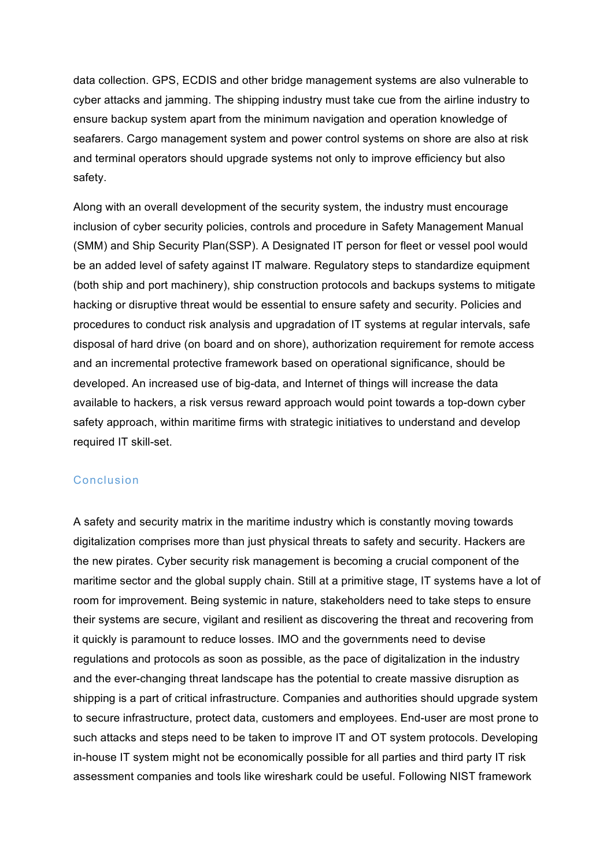data collection. GPS, ECDIS and other bridge management systems are also vulnerable to cyber attacks and jamming. The shipping industry must take cue from the airline industry to ensure backup system apart from the minimum navigation and operation knowledge of seafarers. Cargo management system and power control systems on shore are also at risk and terminal operators should upgrade systems not only to improve efficiency but also safety.

Along with an overall development of the security system, the industry must encourage inclusion of cyber security policies, controls and procedure in Safety Management Manual (SMM) and Ship Security Plan(SSP). A Designated IT person for fleet or vessel pool would be an added level of safety against IT malware. Regulatory steps to standardize equipment (both ship and port machinery), ship construction protocols and backups systems to mitigate hacking or disruptive threat would be essential to ensure safety and security. Policies and procedures to conduct risk analysis and upgradation of IT systems at regular intervals, safe disposal of hard drive (on board and on shore), authorization requirement for remote access and an incremental protective framework based on operational significance, should be developed. An increased use of big-data, and Internet of things will increase the data available to hackers, a risk versus reward approach would point towards a top-down cyber safety approach, within maritime firms with strategic initiatives to understand and develop required IT skill-set.

#### Conclusion

A safety and security matrix in the maritime industry which is constantly moving towards digitalization comprises more than just physical threats to safety and security. Hackers are the new pirates. Cyber security risk management is becoming a crucial component of the maritime sector and the global supply chain. Still at a primitive stage, IT systems have a lot of room for improvement. Being systemic in nature, stakeholders need to take steps to ensure their systems are secure, vigilant and resilient as discovering the threat and recovering from it quickly is paramount to reduce losses. IMO and the governments need to devise regulations and protocols as soon as possible, as the pace of digitalization in the industry and the ever-changing threat landscape has the potential to create massive disruption as shipping is a part of critical infrastructure. Companies and authorities should upgrade system to secure infrastructure, protect data, customers and employees. End-user are most prone to such attacks and steps need to be taken to improve IT and OT system protocols. Developing in-house IT system might not be economically possible for all parties and third party IT risk assessment companies and tools like wireshark could be useful. Following NIST framework